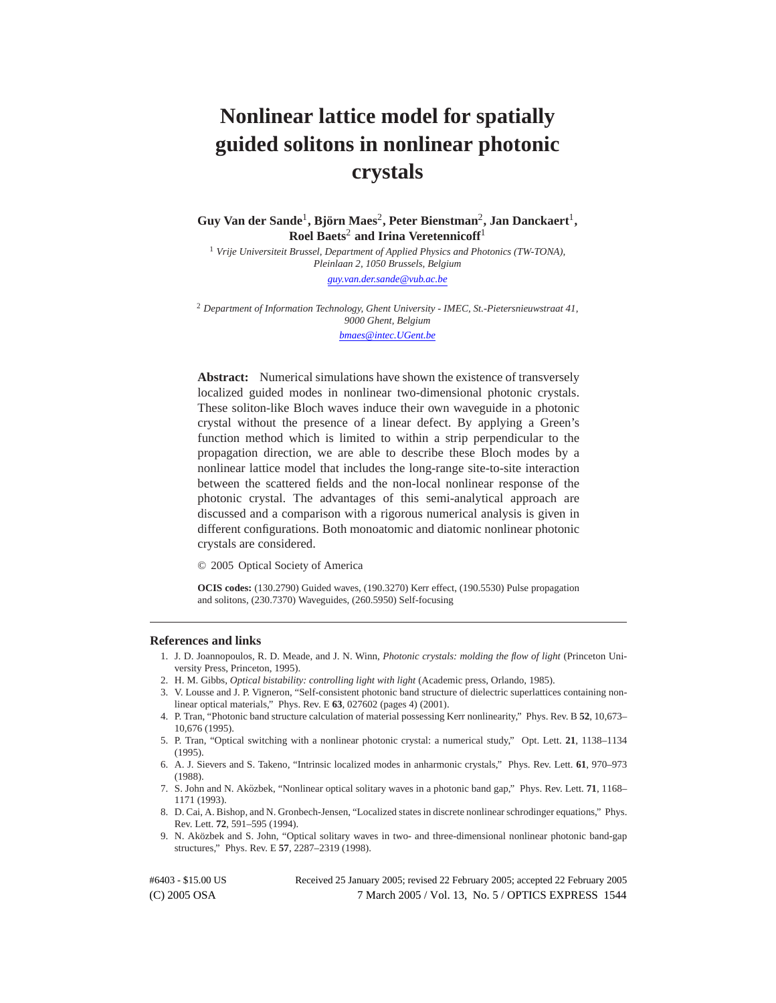# **Nonlinear lattice model for spatially guided solitons in nonlinear photonic crystals**

**Guy Van der Sande**1**, Bjorn Maes ¨** <sup>2</sup>**, Peter Bienstman**2**, Jan Danckaert**1**, Roel Baets**<sup>2</sup> **and Irina Veretennicoff**<sup>1</sup>

<sup>1</sup> *Vrije Universiteit Brussel, Department of Applied Physics and Photonics (TW-TONA), Pleinlaan 2, 1050 Brussels, Belgium*

*[guy.van.der.sande@vub.ac.be](mailto:guy.van.der.sande@vub.ac.be)*

<sup>2</sup> *Department of Information Technology, Ghent University - IMEC, St.-Pietersnieuwstraat 41, 9000 Ghent, Belgium*

*[bmaes@intec.UGent.be](mailto:bmaes@intec.UGent.be)*

**Abstract:** Numerical simulations have shown the existence of transversely localized guided modes in nonlinear two-dimensional photonic crystals. These soliton-like Bloch waves induce their own waveguide in a photonic crystal without the presence of a linear defect. By applying a Green's function method which is limited to within a strip perpendicular to the propagation direction, we are able to describe these Bloch modes by a nonlinear lattice model that includes the long-range site-to-site interaction between the scattered fields and the non-local nonlinear response of the photonic crystal. The advantages of this semi-analytical approach are discussed and a comparison with a rigorous numerical analysis is given in different configurations. Both monoatomic and diatomic nonlinear photonic crystals are considered.

© 2005 Optical Society of America

**OCIS codes:** (130.2790) Guided waves, (190.3270) Kerr effect, (190.5530) Pulse propagation and solitons, (230.7370) Waveguides, (260.5950) Self-focusing

#### **References and links**

- 1. J. D. Joannopoulos, R. D. Meade, and J. N. Winn, *Photonic crystals: molding the flow of light* (Princeton University Press, Princeton, 1995).
- 2. H. M. Gibbs, *Optical bistability: controlling light with light* (Academic press, Orlando, 1985).
- 3. V. Lousse and J. P. Vigneron, "Self-consistent photonic band structure of dielectric superlattices containing nonlinear optical materials," Phys. Rev. E **63**, 027602 (pages 4) (2001).
- 4. P. Tran, "Photonic band structure calculation of material possessing Kerr nonlinearity," Phys. Rev. B **52**, 10,673– 10,676 (1995).
- 5. P. Tran, "Optical switching with a nonlinear photonic crystal: a numerical study," Opt. Lett. **21**, 1138–1134 (1995).
- 6. A. J. Sievers and S. Takeno, "Intrinsic localized modes in anharmonic crystals," Phys. Rev. Lett. **61**, 970–973 (1988).
- 7. S. John and N. Aközbek, "Nonlinear optical solitary waves in a photonic band gap," Phys. Rev. Lett. 71, 1168– 1171 (1993).
- 8. D. Cai, A. Bishop, and N. Gronbech-Jensen, "Localized states in discrete nonlinear schrodinger equations," Phys. Rev. Lett. **72**, 591–595 (1994).
- 9. N. Aközbek and S. John, "Optical solitary waves in two- and three-dimensional nonlinear photonic band-gap structures," Phys. Rev. E **57**, 2287–2319 (1998).

(C) 2005 OSA 7 March 2005 / Vol. 13, No. 5 / OPTICS EXPRESS 1544 #6403 - \$15.00 US Received 25 January 2005; revised 22 February 2005; accepted 22 February 2005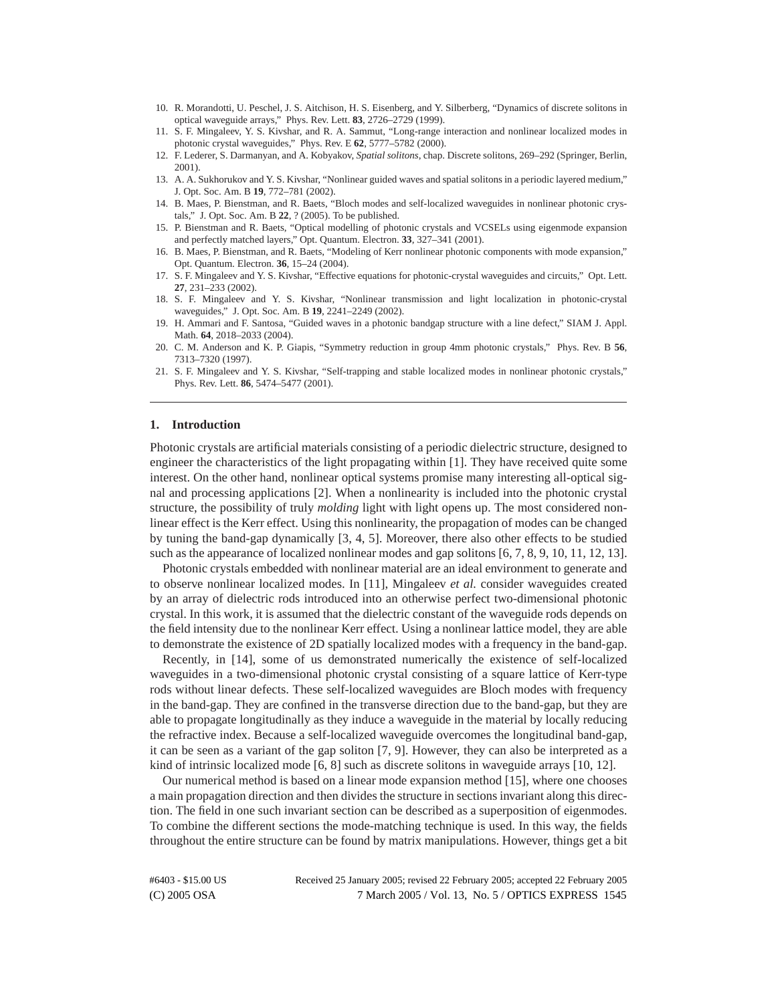- 10. R. Morandotti, U. Peschel, J. S. Aitchison, H. S. Eisenberg, and Y. Silberberg, "Dynamics of discrete solitons in optical waveguide arrays," Phys. Rev. Lett. **83**, 2726–2729 (1999).
- 11. S. F. Mingaleev, Y. S. Kivshar, and R. A. Sammut, "Long-range interaction and nonlinear localized modes in photonic crystal waveguides," Phys. Rev. E **62**, 5777–5782 (2000).
- 12. F. Lederer, S. Darmanyan, and A. Kobyakov, *Spatial solitons*, chap. Discrete solitons, 269–292 (Springer, Berlin, 2001).
- 13. A. A. Sukhorukov and Y. S. Kivshar, "Nonlinear guided waves and spatial solitons in a periodic layered medium," J. Opt. Soc. Am. B **19**, 772–781 (2002).
- 14. B. Maes, P. Bienstman, and R. Baets, "Bloch modes and self-localized waveguides in nonlinear photonic crystals," J. Opt. Soc. Am. B **22**, ? (2005). To be published.
- 15. P. Bienstman and R. Baets, "Optical modelling of photonic crystals and VCSELs using eigenmode expansion and perfectly matched layers," Opt. Quantum. Electron. **33**, 327–341 (2001).
- 16. B. Maes, P. Bienstman, and R. Baets, "Modeling of Kerr nonlinear photonic components with mode expansion," Opt. Quantum. Electron. **36**, 15–24 (2004).
- 17. S. F. Mingaleev and Y. S. Kivshar, "Effective equations for photonic-crystal waveguides and circuits," Opt. Lett. **27**, 231–233 (2002).
- 18. S. F. Mingaleev and Y. S. Kivshar, "Nonlinear transmission and light localization in photonic-crystal waveguides," J. Opt. Soc. Am. B **19**, 2241–2249 (2002).
- 19. H. Ammari and F. Santosa, "Guided waves in a photonic bandgap structure with a line defect," SIAM J. Appl. Math. **64**, 2018–2033 (2004).
- 20. C. M. Anderson and K. P. Giapis, "Symmetry reduction in group 4mm photonic crystals," Phys. Rev. B **56**, 7313–7320 (1997).
- 21. S. F. Mingaleev and Y. S. Kivshar, "Self-trapping and stable localized modes in nonlinear photonic crystals," Phys. Rev. Lett. **86**, 5474–5477 (2001).

## **1. Introduction**

Photonic crystals are artificial materials consisting of a periodic dielectric structure, designed to engineer the characteristics of the light propagating within [1]. They have received quite some interest. On the other hand, nonlinear optical systems promise many interesting all-optical signal and processing applications [2]. When a nonlinearity is included into the photonic crystal structure, the possibility of truly *molding* light with light opens up. The most considered nonlinear effect is the Kerr effect. Using this nonlinearity, the propagation of modes can be changed by tuning the band-gap dynamically [3, 4, 5]. Moreover, there also other effects to be studied such as the appearance of localized nonlinear modes and gap solitons [6, 7, 8, 9, 10, 11, 12, 13].

Photonic crystals embedded with nonlinear material are an ideal environment to generate and to observe nonlinear localized modes. In [11], Mingaleev *et al.* consider waveguides created by an array of dielectric rods introduced into an otherwise perfect two-dimensional photonic crystal. In this work, it is assumed that the dielectric constant of the waveguide rods depends on the field intensity due to the nonlinear Kerr effect. Using a nonlinear lattice model, they are able to demonstrate the existence of 2D spatially localized modes with a frequency in the band-gap.

Recently, in [14], some of us demonstrated numerically the existence of self-localized waveguides in a two-dimensional photonic crystal consisting of a square lattice of Kerr-type rods without linear defects. These self-localized waveguides are Bloch modes with frequency in the band-gap. They are confined in the transverse direction due to the band-gap, but they are able to propagate longitudinally as they induce a waveguide in the material by locally reducing the refractive index. Because a self-localized waveguide overcomes the longitudinal band-gap, it can be seen as a variant of the gap soliton [7, 9]. However, they can also be interpreted as a kind of intrinsic localized mode [6, 8] such as discrete solitons in waveguide arrays [10, 12].

Our numerical method is based on a linear mode expansion method [15], where one chooses a main propagation direction and then divides the structure in sections invariant along this direction. The field in one such invariant section can be described as a superposition of eigenmodes. To combine the different sections the mode-matching technique is used. In this way, the fields throughout the entire structure can be found by matrix manipulations. However, things get a bit

(C) 2005 OSA 7 March 2005 / Vol. 13, No. 5 / OPTICS EXPRESS 1545 #6403 - \$15.00 US Received 25 January 2005; revised 22 February 2005; accepted 22 February 2005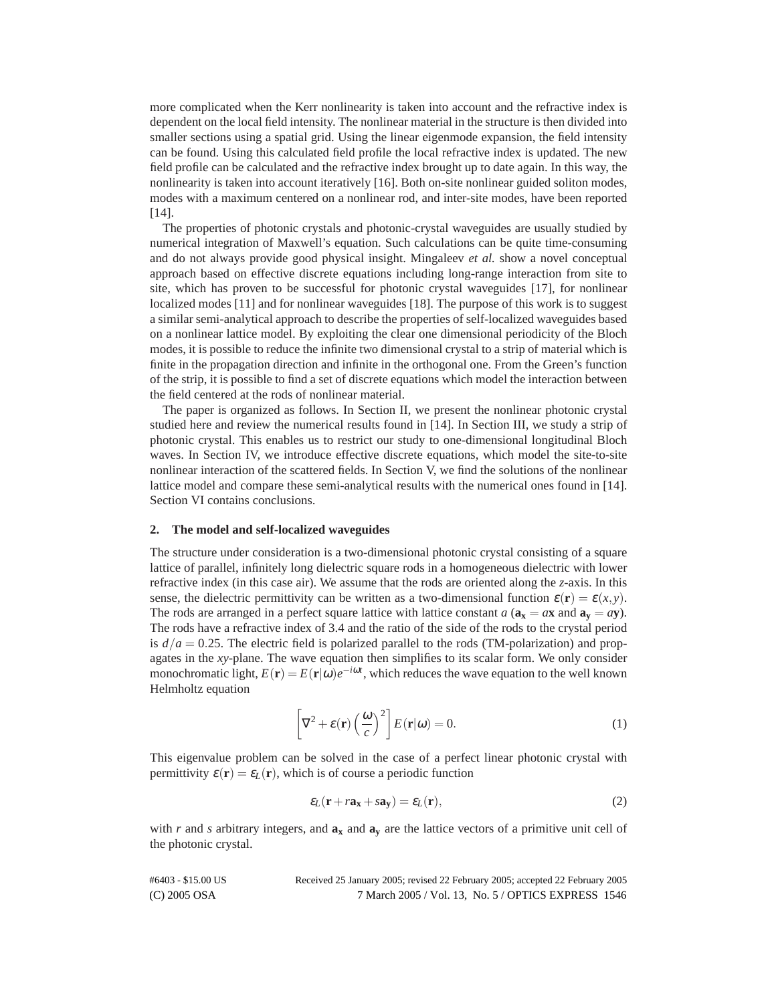more complicated when the Kerr nonlinearity is taken into account and the refractive index is dependent on the local field intensity. The nonlinear material in the structure is then divided into smaller sections using a spatial grid. Using the linear eigenmode expansion, the field intensity can be found. Using this calculated field profile the local refractive index is updated. The new field profile can be calculated and the refractive index brought up to date again. In this way, the nonlinearity is taken into account iteratively [16]. Both on-site nonlinear guided soliton modes, modes with a maximum centered on a nonlinear rod, and inter-site modes, have been reported [14].

The properties of photonic crystals and photonic-crystal waveguides are usually studied by numerical integration of Maxwell's equation. Such calculations can be quite time-consuming and do not always provide good physical insight. Mingaleev *et al.* show a novel conceptual approach based on effective discrete equations including long-range interaction from site to site, which has proven to be successful for photonic crystal waveguides [17], for nonlinear localized modes [11] and for nonlinear waveguides [18]. The purpose of this work is to suggest a similar semi-analytical approach to describe the properties of self-localized waveguides based on a nonlinear lattice model. By exploiting the clear one dimensional periodicity of the Bloch modes, it is possible to reduce the infinite two dimensional crystal to a strip of material which is finite in the propagation direction and infinite in the orthogonal one. From the Green's function of the strip, it is possible to find a set of discrete equations which model the interaction between the field centered at the rods of nonlinear material.

The paper is organized as follows. In Section II, we present the nonlinear photonic crystal studied here and review the numerical results found in [14]. In Section III, we study a strip of photonic crystal. This enables us to restrict our study to one-dimensional longitudinal Bloch waves. In Section IV, we introduce effective discrete equations, which model the site-to-site nonlinear interaction of the scattered fields. In Section V, we find the solutions of the nonlinear lattice model and compare these semi-analytical results with the numerical ones found in [14]. Section VI contains conclusions.

## **2. The model and self-localized waveguides**

The structure under consideration is a two-dimensional photonic crystal consisting of a square lattice of parallel, infinitely long dielectric square rods in a homogeneous dielectric with lower refractive index (in this case air). We assume that the rods are oriented along the *z*-axis. In this sense, the dielectric permittivity can be written as a two-dimensional function  $\varepsilon(\mathbf{r}) = \varepsilon(x, y)$ . The rods are arranged in a perfect square lattice with lattice constant  $a$  ( $\mathbf{a_x} = a\mathbf{x}$  and  $\mathbf{a_y} = a\mathbf{y}$ ). The rods have a refractive index of 3.4 and the ratio of the side of the rods to the crystal period is  $d/a = 0.25$ . The electric field is polarized parallel to the rods (TM-polarization) and propagates in the *xy*-plane. The wave equation then simplifies to its scalar form. We only consider monochromatic light,  $E(\mathbf{r}) = E(\mathbf{r}|\omega)e^{-i\omega t}$ , which reduces the wave equation to the well known Helmholtz equation

$$
\left[\nabla^2 + \varepsilon(\mathbf{r}) \left(\frac{\omega}{c}\right)^2\right] E(\mathbf{r}|\omega) = 0.
$$
 (1)

This eigenvalue problem can be solved in the case of a perfect linear photonic crystal with permittivity  $\varepsilon(\mathbf{r}) = \varepsilon_L(\mathbf{r})$ , which is of course a periodic function

$$
\varepsilon_L(\mathbf{r} + r\mathbf{a_x} + s\mathbf{a_y}) = \varepsilon_L(\mathbf{r}),\tag{2}
$$

with  $r$  and  $s$  arbitrary integers, and  $a_x$  and  $a_y$  are the lattice vectors of a primitive unit cell of the photonic crystal.

(C) 2005 OSA 7 March 2005 / Vol. 13, No. 5 / OPTICS EXPRESS 1546 #6403 - \$15.00 US Received 25 January 2005; revised 22 February 2005; accepted 22 February 2005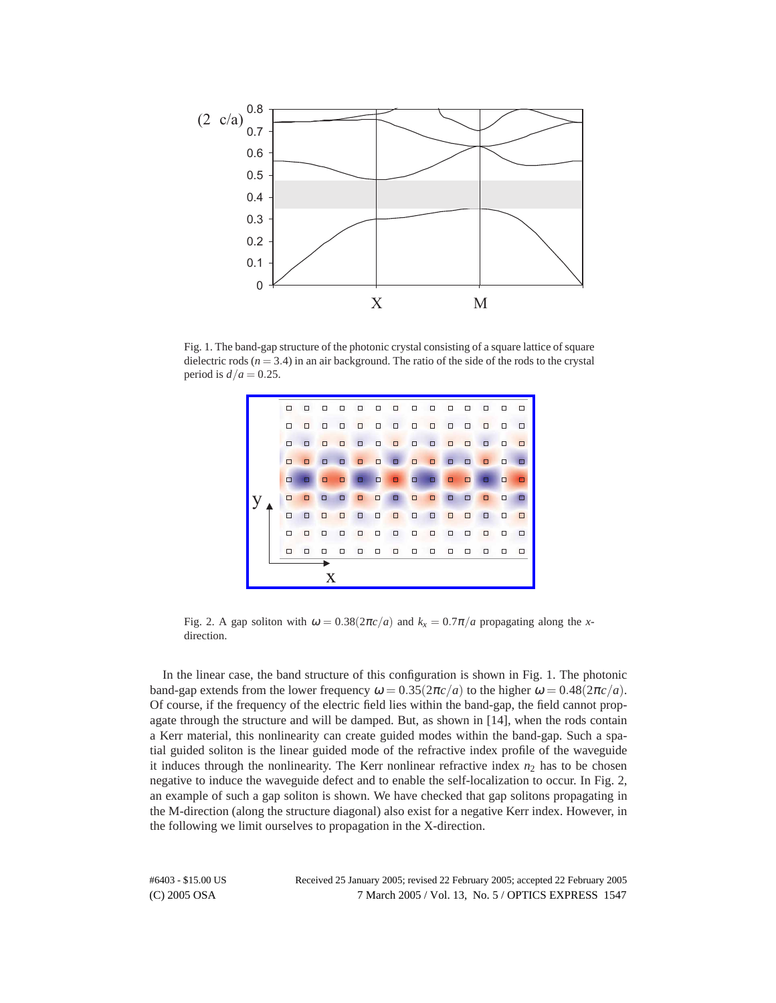

Fig. 1. The band-gap structure of the photonic crystal consisting of a square lattice of square dielectric rods ( $n = 3.4$ ) in an air background. The ratio of the side of the rods to the crystal period is  $d/a = 0.25$ .



Fig. 2. A gap soliton with  $\omega = 0.38(2\pi c/a)$  and  $k_x = 0.7\pi/a$  propagating along the *x*direction.

In the linear case, the band structure of this configuration is shown in Fig. 1. The photonic band-gap extends from the lower frequency  $\omega = 0.35(2\pi c/a)$  to the higher  $\omega = 0.48(2\pi c/a)$ . Of course, if the frequency of the electric field lies within the band-gap, the field cannot propagate through the structure and will be damped. But, as shown in [14], when the rods contain a Kerr material, this nonlinearity can create guided modes within the band-gap. Such a spatial guided soliton is the linear guided mode of the refractive index profile of the waveguide it induces through the nonlinearity. The Kerr nonlinear refractive index  $n_2$  has to be chosen negative to induce the waveguide defect and to enable the self-localization to occur. In Fig. 2, an example of such a gap soliton is shown. We have checked that gap solitons propagating in the M-direction (along the structure diagonal) also exist for a negative Kerr index. However, in the following we limit ourselves to propagation in the X-direction.

(C) 2005 OSA 7 March 2005 / Vol. 13, No. 5 / OPTICS EXPRESS 1547 #6403 - \$15.00 US Received 25 January 2005; revised 22 February 2005; accepted 22 February 2005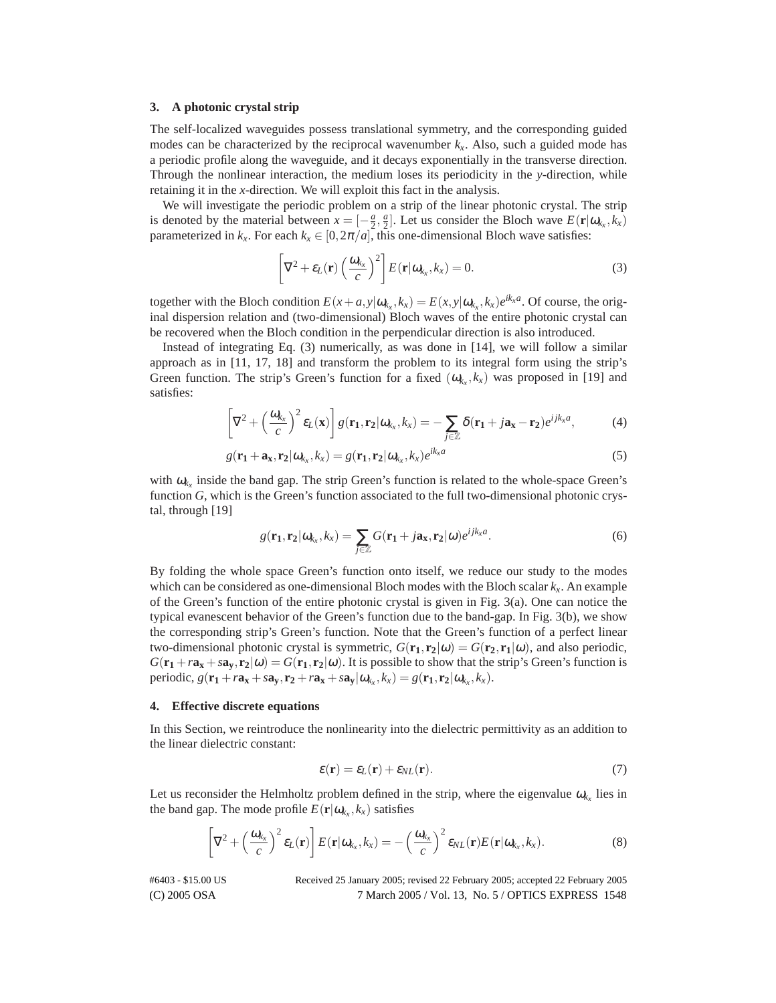#### **3. A photonic crystal strip**

The self-localized waveguides possess translational symmetry, and the corresponding guided modes can be characterized by the reciprocal wavenumber  $k<sub>x</sub>$ . Also, such a guided mode has a periodic profile along the waveguide, and it decays exponentially in the transverse direction. Through the nonlinear interaction, the medium loses its periodicity in the *y*-direction, while retaining it in the *x*-direction. We will exploit this fact in the analysis.

We will investigate the periodic problem on a strip of the linear photonic crystal. The strip is denoted by the material between  $x = \left[-\frac{a}{2}, \frac{a}{2}\right]$ . Let us consider the Bloch wave  $E(\mathbf{r}|\omega_{k_x}, k_x)$ parameterized in  $k_x$ . For each  $k_x \in [0, 2\pi/a]$ , this one-dimensional Bloch wave satisfies:

$$
\left[\nabla^2 + \varepsilon_L(\mathbf{r}) \left(\frac{\omega_{k_x}}{c}\right)^2\right] E(\mathbf{r}|\omega_{k_x}, k_x) = 0.
$$
\n(3)

together with the Bloch condition  $E(x + a, y | \omega_{k_x}, k_x) = E(x, y | \omega_{k_x}, k_x) e^{ik_x a}$ . Of course, the original dispersion relation and (two-dimensional) Bloch waves of the entire photonic crystal can be recovered when the Bloch condition in the perpendicular direction is also introduced.

Instead of integrating Eq. (3) numerically, as was done in [14], we will follow a similar approach as in [11, 17, 18] and transform the problem to its integral form using the strip's Green function. The strip's Green's function for a fixed  $(\omega_{k_x}, k_x)$  was proposed in [19] and satisfies:

$$
\left[\nabla^2 + \left(\frac{\omega_{k_x}}{c}\right)^2 \varepsilon_L(\mathbf{x})\right] g(\mathbf{r}_1, \mathbf{r}_2 | \omega_{k_x}, k_x) = -\sum_{j \in \mathbb{Z}} \delta(\mathbf{r}_1 + j\mathbf{a}_\mathbf{x} - \mathbf{r}_2) e^{ijk_x a},\tag{4}
$$

$$
g(\mathbf{r_1} + \mathbf{a_x}, \mathbf{r_2} | \omega_{k_x}, k_x) = g(\mathbf{r_1}, \mathbf{r_2} | \omega_{k_x}, k_x) e^{ik_x a}
$$
\n<sup>(5)</sup>

with  $\omega_{k_x}$  inside the band gap. The strip Green's function is related to the whole-space Green's function *G*, which is the Green's function associated to the full two-dimensional photonic crystal, through [19]

$$
g(\mathbf{r}_1, \mathbf{r}_2 | \omega_{k_x}, k_x) = \sum_{j \in \mathbb{Z}} G(\mathbf{r}_1 + j\mathbf{a}_x, \mathbf{r}_2 | \omega) e^{ijk_x a}.
$$
 (6)

By folding the whole space Green's function onto itself, we reduce our study to the modes which can be considered as one-dimensional Bloch modes with the Bloch scalar  $k_x$ . An example of the Green's function of the entire photonic crystal is given in Fig. 3(a). One can notice the typical evanescent behavior of the Green's function due to the band-gap. In Fig. 3(b), we show the corresponding strip's Green's function. Note that the Green's function of a perfect linear two-dimensional photonic crystal is symmetric,  $G(\mathbf{r}_1, \mathbf{r}_2 | \omega) = G(\mathbf{r}_2, \mathbf{r}_1 | \omega)$ , and also periodic,  $G(\mathbf{r_1} + \mathbf{r}\mathbf{a_x} + \mathbf{s}\mathbf{a_y}, \mathbf{r_2}|\omega) = G(\mathbf{r_1}, \mathbf{r_2}|\omega)$ . It is possible to show that the strip's Green's function is periodic,  $g(\mathbf{r_1} + r\mathbf{a_x} + s\mathbf{a_y}, \mathbf{r_2} + r\mathbf{a_x} + s\mathbf{a_y} | \omega_{k_x}, k_x) = g(\mathbf{r_1}, \mathbf{r_2} | \omega_{k_x}, k_x).$ 

## **4. Effective discrete equations**

In this Section, we reintroduce the nonlinearity into the dielectric permittivity as an addition to the linear dielectric constant:

$$
\varepsilon(\mathbf{r}) = \varepsilon_L(\mathbf{r}) + \varepsilon_{NL}(\mathbf{r}).\tag{7}
$$

Let us reconsider the Helmholtz problem defined in the strip, where the eigenvalue  $\omega_{k_x}$  lies in the band gap. The mode profile  $E(\mathbf{r}|\omega_{k_x}, k_x)$  satisfies

$$
\left[\nabla^2 + \left(\frac{\omega_{k_x}}{c}\right)^2 \mathcal{E}_L(\mathbf{r})\right] E(\mathbf{r}|\omega_{k_x}, k_x) = -\left(\frac{\omega_{k_x}}{c}\right)^2 \mathcal{E}_{NL}(\mathbf{r}) E(\mathbf{r}|\omega_{k_x}, k_x).
$$
\n(8)

(C) 2005 OSA 7 March 2005 / Vol. 13, No. 5 / OPTICS EXPRESS 1548 #6403 - \$15.00 US Received 25 January 2005; revised 22 February 2005; accepted 22 February 2005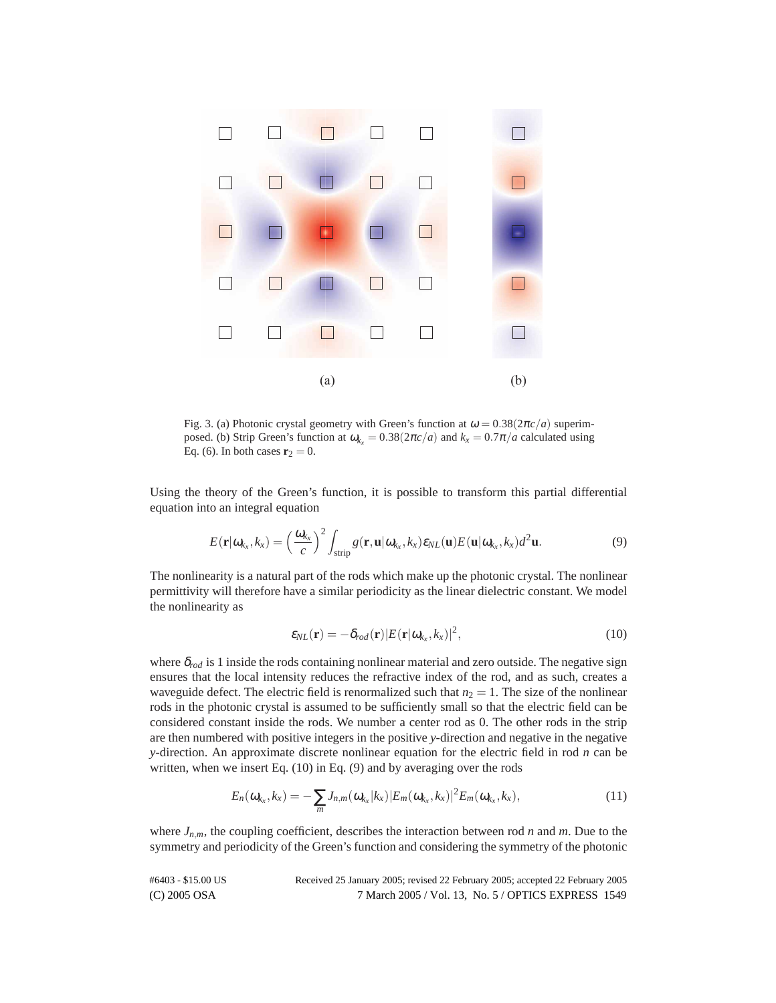

Fig. 3. (a) Photonic crystal geometry with Green's function at  $\omega = 0.38(2\pi c/a)$  superimposed. (b) Strip Green's function at  $\omega_{k_x} = 0.38(2\pi c/a)$  and  $k_x = 0.7\pi/a$  calculated using Eq. (6). In both cases  $\mathbf{r}_2 = 0$ .

Using the theory of the Green's function, it is possible to transform this partial differential equation into an integral equation

$$
E(\mathbf{r}|\omega_{k_x},k_x) = \left(\frac{\omega_{k_x}}{c}\right)^2 \int_{\text{strip}} g(\mathbf{r},\mathbf{u}|\omega_{k_x},k_x) \varepsilon_{NL}(\mathbf{u}) E(\mathbf{u}|\omega_{k_x},k_x) d^2 \mathbf{u}.
$$
 (9)

The nonlinearity is a natural part of the rods which make up the photonic crystal. The nonlinear permittivity will therefore have a similar periodicity as the linear dielectric constant. We model the nonlinearity as

$$
\varepsilon_{NL}(\mathbf{r}) = -\delta_{rod}(\mathbf{r}) |E(\mathbf{r}|\omega_{k_x}, k_x)|^2, \tag{10}
$$

where <sup>δ</sup>*rod* is 1 inside the rods containing nonlinear material and zero outside. The negative sign ensures that the local intensity reduces the refractive index of the rod, and as such, creates a waveguide defect. The electric field is renormalized such that  $n_2 = 1$ . The size of the nonlinear rods in the photonic crystal is assumed to be sufficiently small so that the electric field can be considered constant inside the rods. We number a center rod as 0. The other rods in the strip are then numbered with positive integers in the positive *y*-direction and negative in the negative *y*-direction. An approximate discrete nonlinear equation for the electric field in rod *n* can be written, when we insert Eq. (10) in Eq. (9) and by averaging over the rods

$$
E_n(\omega_{k_x}, k_x) = -\sum_m J_{n,m}(\omega_{k_x}|k_x)|E_m(\omega_{k_x}, k_x)|^2 E_m(\omega_{k_x}, k_x), \qquad (11)
$$

where  $J_{n,m}$ , the coupling coefficient, describes the interaction between rod *n* and *m*. Due to the symmetry and periodicity of the Green's function and considering the symmetry of the photonic

(C) 2005 OSA 7 March 2005 / Vol. 13, No. 5 / OPTICS EXPRESS 1549 #6403 - \$15.00 US Received 25 January 2005; revised 22 February 2005; accepted 22 February 2005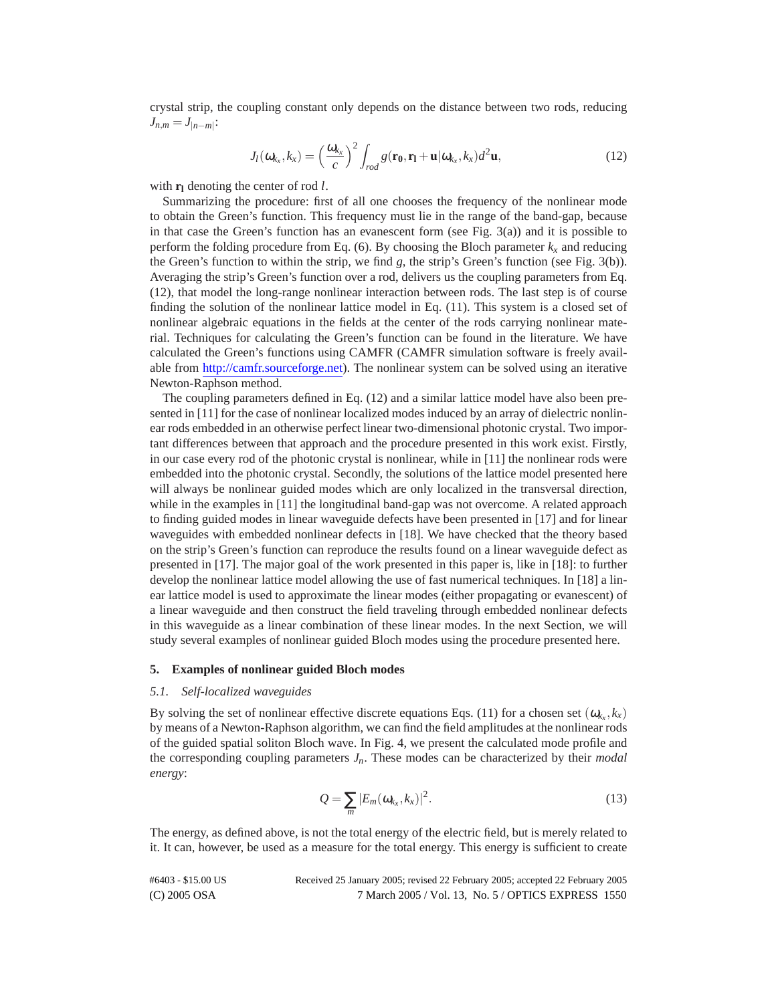crystal strip, the coupling constant only depends on the distance between two rods, reducing  $J_{n,m} = J_{|n-m|}$ :

$$
J_l(\omega_{k_x}, k_x) = \left(\frac{\omega_{k_x}}{c}\right)^2 \int_{rod} g(\mathbf{r_0}, \mathbf{r_1} + \mathbf{u}|\omega_{k_x}, k_x) d^2 \mathbf{u}, \qquad (12)
$$

with  $\mathbf{r}_1$  denoting the center of rod *l*.

Summarizing the procedure: first of all one chooses the frequency of the nonlinear mode to obtain the Green's function. This frequency must lie in the range of the band-gap, because in that case the Green's function has an evanescent form (see Fig. 3(a)) and it is possible to perform the folding procedure from Eq.  $(6)$ . By choosing the Bloch parameter  $k<sub>x</sub>$  and reducing the Green's function to within the strip, we find *g*, the strip's Green's function (see Fig. 3(b)). Averaging the strip's Green's function over a rod, delivers us the coupling parameters from Eq. (12), that model the long-range nonlinear interaction between rods. The last step is of course finding the solution of the nonlinear lattice model in Eq. (11). This system is a closed set of nonlinear algebraic equations in the fields at the center of the rods carrying nonlinear material. Techniques for calculating the Green's function can be found in the literature. We have calculated the Green's functions using CAMFR (CAMFR simulation software is freely available from http://camfr.sourceforge.net). The nonlinear system can be solved using an iterative Newton-Raphson method.

The coupling parameters defined in Eq. (12) and a similar lattice model have also been presented in [11] for the case of nonlinear localized modes induced by an array of dielectric nonlinear rods embedded in an otherwise perfect linear two-dimensional photonic crystal. Two important differences between that approach and the procedure presented in this work exist. Firstly, in our case every rod of the photonic crystal is nonlinear, while in [11] the nonlinear rods were embedded into the photonic crystal. Secondly, the solutions of the lattice model presented here will always be nonlinear guided modes which are only localized in the transversal direction, while in the examples in [11] the longitudinal band-gap was not overcome. A related approach to finding guided modes in linear waveguide defects have been presented in [17] and for linear waveguides with embedded nonlinear defects in [18]. We have checked that the theory based on the strip's Green's function can reproduce the results found on a linear waveguide defect as presented in [17]. The major goal of the work presented in this paper is, like in [18]: to further develop the nonlinear lattice model allowing the use of fast numerical techniques. In [18] a linear lattice model is used to approximate the linear modes (either propagating or evanescent) of a linear waveguide and then construct the field traveling through embedded nonlinear defects in this waveguide as a linear combination of these linear modes. In the next Section, we will study several examples of nonlinear guided Bloch modes using the procedure presented here.

## **5. Examples of nonlinear guided Bloch modes**

## *5.1. Self-localized waveguides*

By solving the set of nonlinear effective discrete equations Eqs. (11) for a chosen set  $(\omega_{k_x}, k_x)$ by means of a Newton-Raphson algorithm, we can find the field amplitudes at the nonlinear rods of the guided spatial soliton Bloch wave. In Fig. 4, we present the calculated mode profile and the corresponding coupling parameters *Jn*. These modes can be characterized by their *modal energy*:

$$
Q = \sum_{m} |E_m(\omega_{k_x}, k_x)|^2.
$$
 (13)

The energy, as defined above, is not the total energy of the electric field, but is merely related to it. It can, however, be used as a measure for the total energy. This energy is sufficient to create

| #6403 - \$15.00 US | Received 25 January 2005; revised 22 February 2005; accepted 22 February 2005 |  |
|--------------------|-------------------------------------------------------------------------------|--|
| $(C)$ 2005 OSA     | 7 March 2005 / Vol. 13, No. 5 / OPTICS EXPRESS 1550                           |  |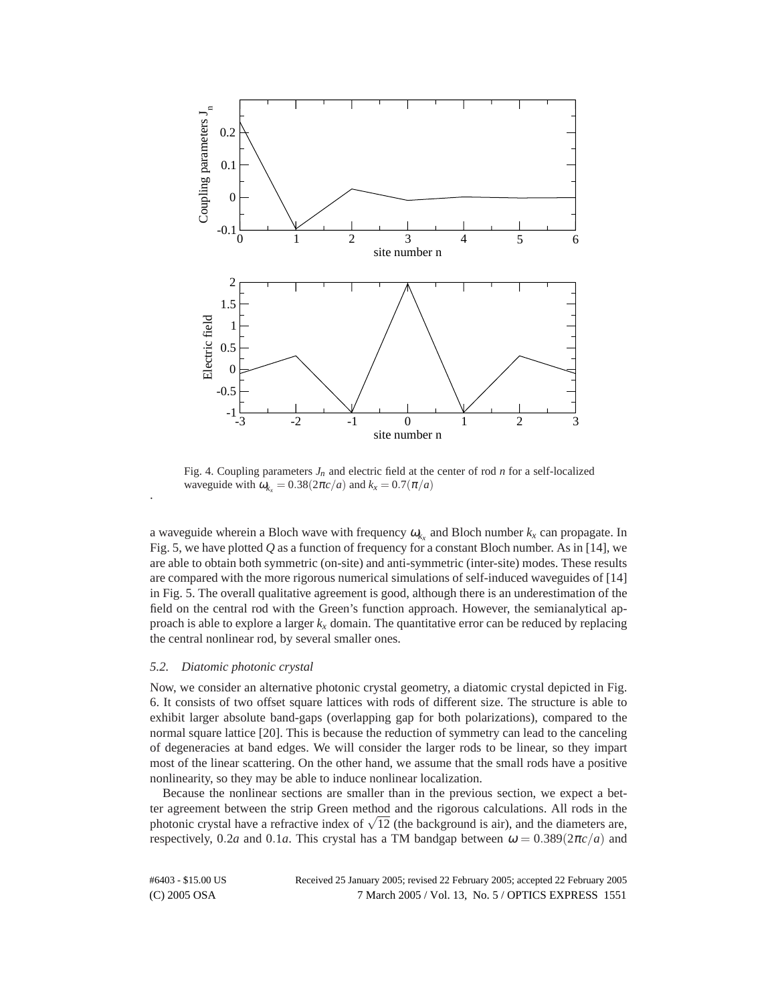

Fig. 4. Coupling parameters  $J_n$  and electric field at the center of rod *n* for a self-localized waveguide with  $\omega_{k_x} = 0.38(2\pi c/a)$  and  $k_x = 0.7(\pi/a)$ 

a waveguide wherein a Bloch wave with frequency  $\omega_{k_x}$  and Bloch number  $k_x$  can propagate. In Fig. 5, we have plotted *Q* as a function of frequency for a constant Bloch number. As in [14], we are able to obtain both symmetric (on-site) and anti-symmetric (inter-site) modes. These results are compared with the more rigorous numerical simulations of self-induced waveguides of [14] in Fig. 5. The overall qualitative agreement is good, although there is an underestimation of the field on the central rod with the Green's function approach. However, the semianalytical approach is able to explore a larger  $k_x$  domain. The quantitative error can be reduced by replacing the central nonlinear rod, by several smaller ones.

## *5.2. Diatomic photonic crystal*

Now, we consider an alternative photonic crystal geometry, a diatomic crystal depicted in Fig. 6. It consists of two offset square lattices with rods of different size. The structure is able to exhibit larger absolute band-gaps (overlapping gap for both polarizations), compared to the normal square lattice [20]. This is because the reduction of symmetry can lead to the canceling of degeneracies at band edges. We will consider the larger rods to be linear, so they impart most of the linear scattering. On the other hand, we assume that the small rods have a positive nonlinearity, so they may be able to induce nonlinear localization.

Because the nonlinear sections are smaller than in the previous section, we expect a better agreement between the strip Green method and the rigorous calculations. All rods in the photonic crystal have a refractive index of  $\sqrt{12}$  (the background is air), and the diameters are, respectively, 0.2*a* and 0.1*a*. This crystal has a TM bandgap between  $\omega = 0.389(2\pi c/a)$  and

(C) 2005 OSA 7 March 2005 / Vol. 13, No. 5 / OPTICS EXPRESS 1551 #6403 - \$15.00 US Received 25 January 2005; revised 22 February 2005; accepted 22 February 2005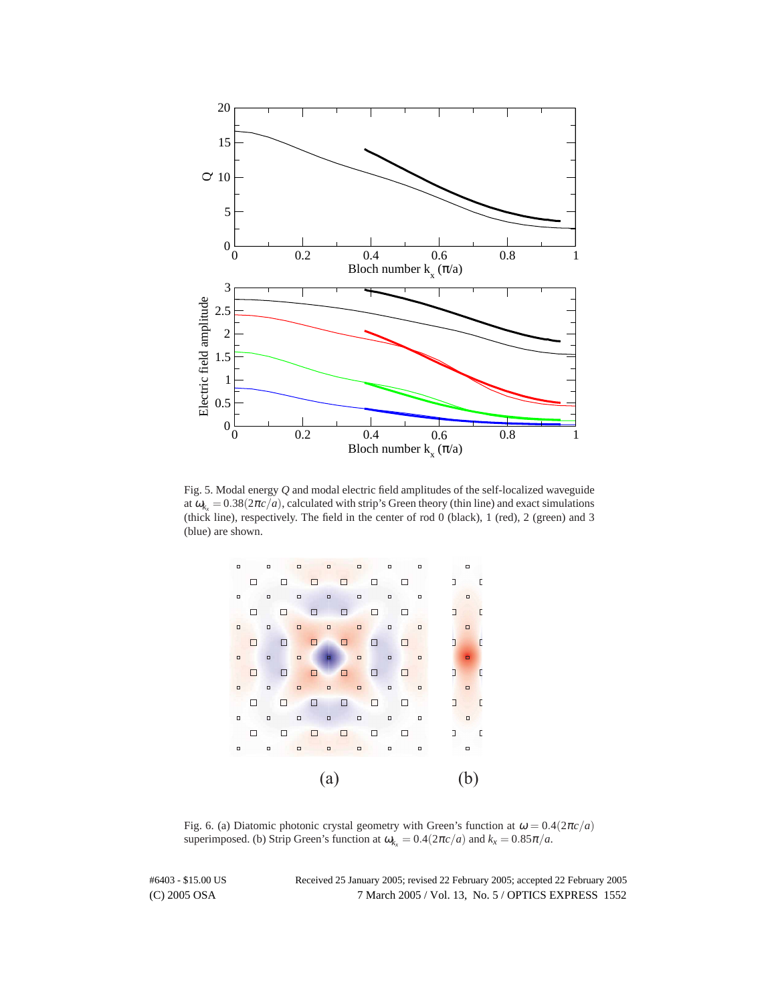

Fig. 5. Modal energy *Q* and modal electric field amplitudes of the self-localized waveguide at  $\omega_{k_x} = 0.38(2\pi c/a)$ , calculated with strip's Green theory (thin line) and exact simulations (thick line), respectively. The field in the center of rod 0 (black), 1 (red), 2 (green) and 3 (blue) are shown.

| $\Box$ |   | $\Box$ |   | $\Box$ |        | $\Box$ |   | $\Box$ |   | $\Box$ |     | $\Box$ |  |   | $\Box$ |   |
|--------|---|--------|---|--------|--------|--------|---|--------|---|--------|-----|--------|--|---|--------|---|
|        | □ |        | П |        | □      |        | □ |        | □ |        | □   |        |  | J |        | С |
| $\Box$ |   | $\Box$ |   | $\Box$ |        | $\Box$ |   | $\Box$ |   | $\Box$ |     | $\Box$ |  |   | $\Box$ |   |
|        | □ |        | П |        |        |        |   |        | □ |        | Γı  |        |  | I |        | С |
| $\Box$ |   | $\Box$ |   | $\Box$ |        | $\Box$ |   | $\Box$ |   | $\Box$ |     | $\Box$ |  |   | $\Box$ |   |
|        | □ |        |   |        | □      |        |   |        |   |        |     |        |  | I |        | C |
| $\Box$ |   | $\Box$ |   | $\Box$ |        | o      |   | $\Box$ |   | $\Box$ |     | $\Box$ |  |   | o      |   |
|        | □ |        |   |        | $\Box$ |        | П |        |   |        | a a |        |  | j |        | C |
| $\Box$ |   | $\Box$ |   | $\Box$ |        | $\Box$ |   | $\Box$ |   | $\Box$ |     | $\Box$ |  |   | $\Box$ |   |
|        | □ |        |   |        | □      |        |   |        |   |        |     |        |  | ∃ |        | C |
| $\Box$ |   | $\Box$ |   | $\Box$ |        | $\Box$ |   | $\Box$ |   | $\Box$ |     | $\Box$ |  |   | $\Box$ |   |
|        |   |        |   |        |        |        | г |        |   |        | г   |        |  | J |        | С |
| $\Box$ |   | $\Box$ |   | $\Box$ |        | $\Box$ |   | $\Box$ |   | $\Box$ |     | $\Box$ |  |   | $\Box$ |   |
|        |   |        |   |        |        |        |   |        |   |        |     |        |  |   |        |   |
| (a)    |   |        |   |        |        |        |   |        |   |        |     |        |  |   |        |   |

Fig. 6. (a) Diatomic photonic crystal geometry with Green's function at  $\omega = 0.4(2\pi c/a)$ superimposed. (b) Strip Green's function at  $\omega_{k_x} = 0.4(2\pi c/a)$  and  $k_x = 0.85\pi/a$ .

(C) 2005 OSA 7 March 2005 / Vol. 13, No. 5 / OPTICS EXPRESS 1552 #6403 - \$15.00 US Received 25 January 2005; revised 22 February 2005; accepted 22 February 2005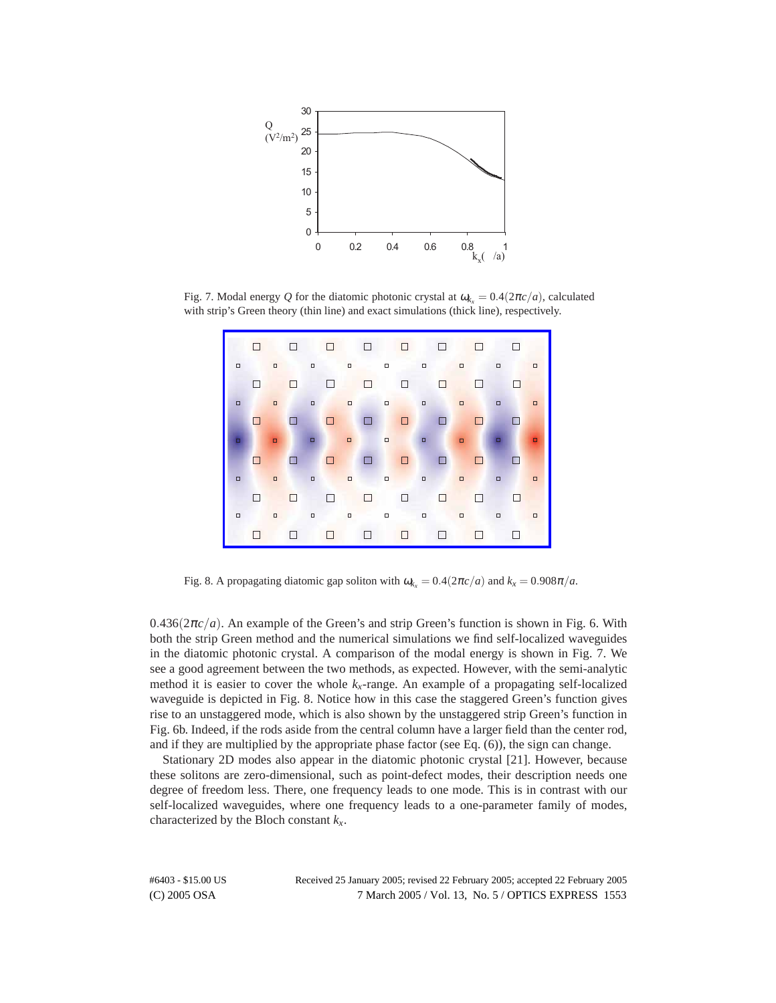

Fig. 7. Modal energy Q for the diatomic photonic crystal at  $\omega_{k_x} = 0.4(2\pi c/a)$ , calculated with strip's Green theory (thin line) and exact simulations (thick line), respectively.



Fig. 8. A propagating diatomic gap soliton with  $\omega_{k_x} = 0.4(2\pi c/a)$  and  $k_x = 0.908\pi/a$ .

 $0.436(2\pi c/a)$ . An example of the Green's and strip Green's function is shown in Fig. 6. With both the strip Green method and the numerical simulations we find self-localized waveguides in the diatomic photonic crystal. A comparison of the modal energy is shown in Fig. 7. We see a good agreement between the two methods, as expected. However, with the semi-analytic method it is easier to cover the whole  $k_x$ -range. An example of a propagating self-localized waveguide is depicted in Fig. 8. Notice how in this case the staggered Green's function gives rise to an unstaggered mode, which is also shown by the unstaggered strip Green's function in Fig. 6b. Indeed, if the rods aside from the central column have a larger field than the center rod, and if they are multiplied by the appropriate phase factor (see Eq. (6)), the sign can change.

Stationary 2D modes also appear in the diatomic photonic crystal [21]. However, because these solitons are zero-dimensional, such as point-defect modes, their description needs one degree of freedom less. There, one frequency leads to one mode. This is in contrast with our self-localized waveguides, where one frequency leads to a one-parameter family of modes, characterized by the Bloch constant *kx*.

(C) 2005 OSA 7 March 2005 / Vol. 13, No. 5 / OPTICS EXPRESS 1553 #6403 - \$15.00 US Received 25 January 2005; revised 22 February 2005; accepted 22 February 2005